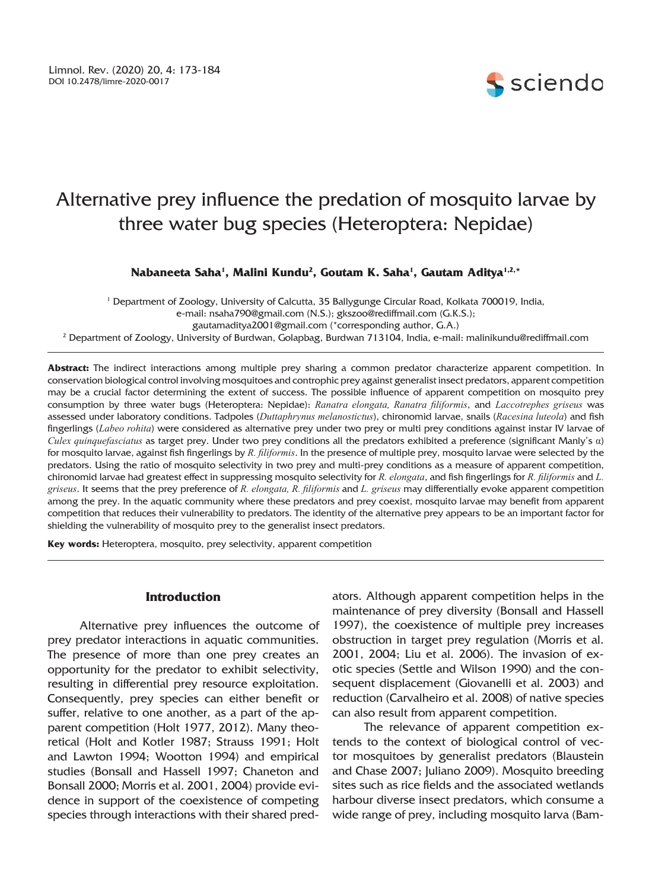

# Alternative prey influence the predation of mosquito larvae by three water bug species (Heteroptera: Nepidae)

# **Nabaneeta Saha<sup>1</sup> , Malini Kundu<sup>2</sup> , Goutam K. Saha<sup>1</sup> , Gautam Aditya1,2, \***

1 Department of Zoology, University of Calcutta, 35 Ballygunge Circular Road, Kolkata 700019, India, e-mail: nsaha790@gmail.com (N.S.); gkszoo@rediffmail.com (G.K.S.); gautamaditya2001@gmail.com (\*corresponding author, G.A.) 2 Department of Zoology, University of Burdwan, Golapbag, Burdwan 713104, India, e-mail: malinikundu@rediffmail.com

**Abstract:** The indirect interactions among multiple prey sharing a common predator characterize apparent competition. In conservation biological control involving mosquitoes and controphic prey against generalist insect predators, apparent competition may be a crucial factor determining the extent of success. The possible influence of apparent competition on mosquito prey consumption by three water bugs (Heteroptera: Nepidae): *Ranatra elongata, Ranatra filiformis*, and *Laccotrephes griseus* was assessed under laboratory conditions. Tadpoles (*Duttaphrynus melanostictus*), chironomid larvae, snails (*Racesina luteola*) and fish fingerlings (*Labeo rohita*) were considered as alternative prey under two prey or multi prey conditions against instar IV larvae of *Culex quinquefasciatus* as target prey. Under two prey conditions all the predators exhibited a preference (significant Manly's α) for mosquito larvae, against fish fingerlings by *R. filiformis*. In the presence of multiple prey, mosquito larvae were selected by the predators. Using the ratio of mosquito selectivity in two prey and multi-prey conditions as a measure of apparent competition, chironomid larvae had greatest effect in suppressing mosquito selectivity for *R. elongata*, and fish fingerlings for *R. filiformis* and *L. griseus*. It seems that the prey preference of *R. elongata, R. filiformis* and *L. griseus* may differentially evoke apparent competition among the prey. In the aquatic community where these predators and prey coexist, mosquito larvae may benefit from apparent competition that reduces their vulnerability to predators. The identity of the alternative prey appears to be an important factor for shielding the vulnerability of mosquito prey to the generalist insect predators.

**Key words:** Heteroptera, mosquito, prey selectivity, apparent competition

# **Introduction**

Alternative prey influences the outcome of prey predator interactions in aquatic communities. The presence of more than one prey creates an opportunity for the predator to exhibit selectivity, resulting in differential prey resource exploitation. Consequently, prey species can either benefit or suffer, relative to one another, as a part of the apparent competition (Holt 1977, 2012). Many theoretical (Holt and Kotler 1987; Strauss 1991; Holt and Lawton 1994; Wootton 1994) and empirical studies (Bonsall and Hassell 1997; Chaneton and Bonsall 2000; Morris et al. 2001, 2004) provide evidence in support of the coexistence of competing species through interactions with their shared pred-

ators. Although apparent competition helps in the maintenance of prey diversity (Bonsall and Hassell 1997), the coexistence of multiple prey increases obstruction in target prey regulation (Morris et al. 2001, 2004; Liu et al. 2006). The invasion of exotic species (Settle and Wilson 1990) and the consequent displacement (Giovanelli et al. 2003) and reduction (Carvalheiro et al. 2008) of native species can also result from apparent competition.

The relevance of apparent competition extends to the context of biological control of vector mosquitoes by generalist predators (Blaustein and Chase 2007; Juliano 2009). Mosquito breeding sites such as rice fields and the associated wetlands harbour diverse insect predators, which consume a wide range of prey, including mosquito larva (Bam-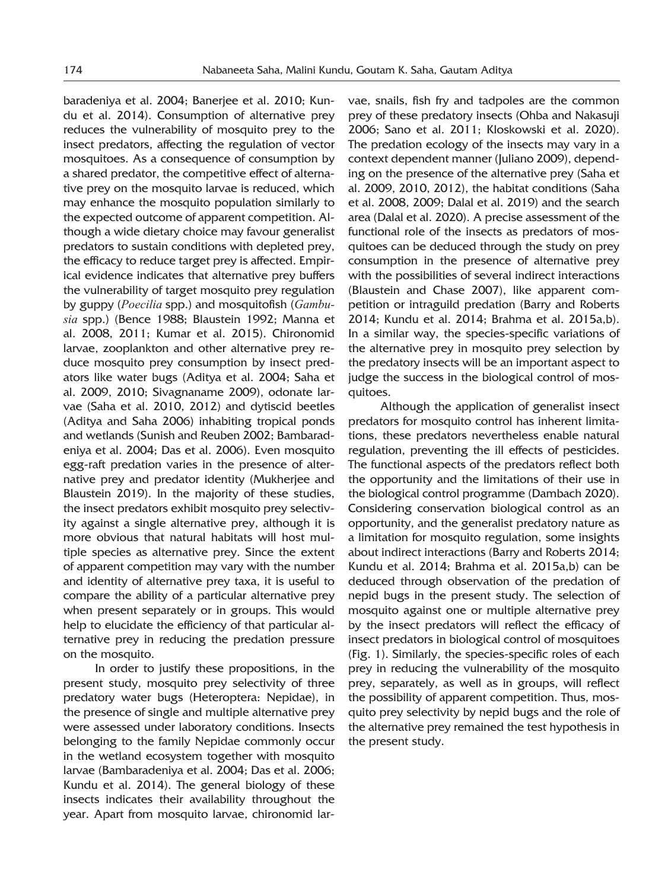baradeniya et al. 2004; Banerjee et al. 2010; Kundu et al. 2014). Consumption of alternative prey reduces the vulnerability of mosquito prey to the insect predators, affecting the regulation of vector mosquitoes. As a consequence of consumption by a shared predator, the competitive effect of alternative prey on the mosquito larvae is reduced, which may enhance the mosquito population similarly to the expected outcome of apparent competition. Although a wide dietary choice may favour generalist predators to sustain conditions with depleted prey, the efficacy to reduce target prey is affected. Empirical evidence indicates that alternative prey buffers the vulnerability of target mosquito prey regulation by guppy (*Poecilia* spp.) and mosquitofish (*Gambusia* spp.) (Bence 1988; Blaustein 1992; Manna et al. 2008, 2011; Kumar et al. 2015). Chironomid larvae, zooplankton and other alternative prey reduce mosquito prey consumption by insect predators like water bugs (Aditya et al. 2004; Saha et al. 2009, 2010; Sivagnaname 2009), odonate larvae (Saha et al. 2010, 2012) and dytiscid beetles (Aditya and Saha 2006) inhabiting tropical ponds and wetlands (Sunish and Reuben 2002; Bambaradeniya et al. 2004; Das et al. 2006). Even mosquito egg-raft predation varies in the presence of alternative prey and predator identity (Mukherjee and Blaustein 2019). In the majority of these studies, the insect predators exhibit mosquito prey selectivity against a single alternative prey, although it is more obvious that natural habitats will host multiple species as alternative prey. Since the extent of apparent competition may vary with the number and identity of alternative prey taxa, it is useful to compare the ability of a particular alternative prey when present separately or in groups. This would help to elucidate the efficiency of that particular alternative prey in reducing the predation pressure on the mosquito.

In order to justify these propositions, in the present study, mosquito prey selectivity of three predatory water bugs (Heteroptera: Nepidae), in the presence of single and multiple alternative prey were assessed under laboratory conditions. Insects belonging to the family Nepidae commonly occur in the wetland ecosystem together with mosquito larvae (Bambaradeniya et al. 2004; Das et al. 2006; Kundu et al. 2014). The general biology of these insects indicates their availability throughout the year. Apart from mosquito larvae, chironomid larvae, snails, fish fry and tadpoles are the common prey of these predatory insects (Ohba and Nakasuji 2006; Sano et al. 2011; Kloskowski et al. 2020). The predation ecology of the insects may vary in a context dependent manner (Juliano 2009), depending on the presence of the alternative prey (Saha et al. 2009, 2010, 2012), the habitat conditions (Saha et al. 2008, 2009; Dalal et al. 2019) and the search area (Dalal et al. 2020). A precise assessment of the functional role of the insects as predators of mosquitoes can be deduced through the study on prey consumption in the presence of alternative prey with the possibilities of several indirect interactions (Blaustein and Chase 2007), like apparent competition or intraguild predation (Barry and Roberts 2014; Kundu et al. 2014; Brahma et al. 2015a,b). In a similar way, the species-specific variations of the alternative prey in mosquito prey selection by the predatory insects will be an important aspect to judge the success in the biological control of mosquitoes.

Although the application of generalist insect predators for mosquito control has inherent limitations, these predators nevertheless enable natural regulation, preventing the ill effects of pesticides. The functional aspects of the predators reflect both the opportunity and the limitations of their use in the biological control programme (Dambach 2020). Considering conservation biological control as an opportunity, and the generalist predatory nature as a limitation for mosquito regulation, some insights about indirect interactions (Barry and Roberts 2014; Kundu et al. 2014; Brahma et al. 2015a,b) can be deduced through observation of the predation of nepid bugs in the present study. The selection of mosquito against one or multiple alternative prey by the insect predators will reflect the efficacy of insect predators in biological control of mosquitoes (Fig. 1). Similarly, the species-specific roles of each prey in reducing the vulnerability of the mosquito prey, separately, as well as in groups, will reflect the possibility of apparent competition. Thus, mosquito prey selectivity by nepid bugs and the role of the alternative prey remained the test hypothesis in the present study.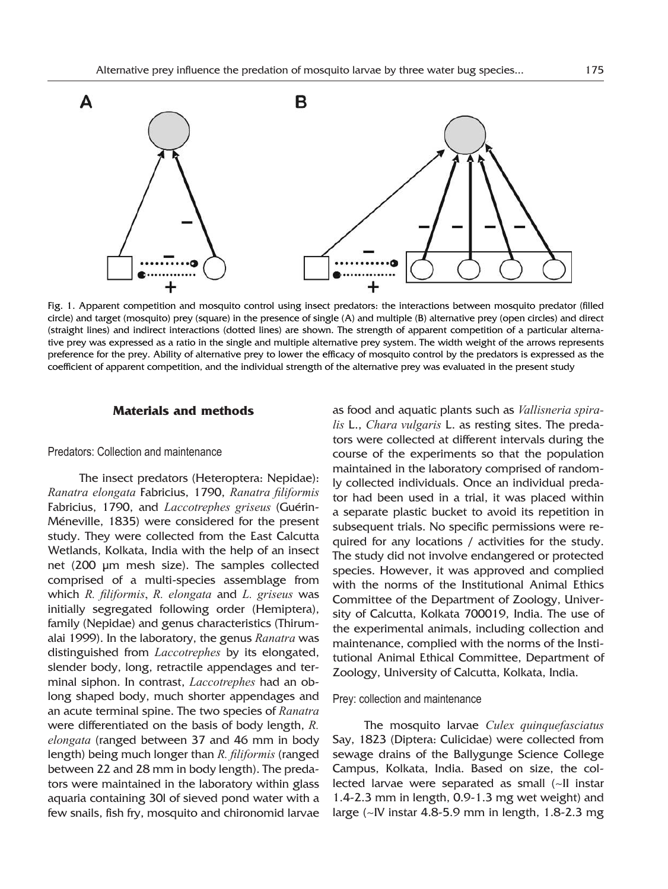

Fig. 1. Apparent competition and mosquito control using insect predators: the interactions between mosquito predator (filled circle) and target (mosquito) prey (square) in the presence of single (A) and multiple (B) alternative prey (open circles) and direct (straight lines) and indirect interactions (dotted lines) are shown. The strength of apparent competition of a particular alternative prey was expressed as a ratio in the single and multiple alternative prey system. The width weight of the arrows represents preference for the prey. Ability of alternative prey to lower the efficacy of mosquito control by the predators is expressed as the coefficient of apparent competition, and the individual strength of the alternative prey was evaluated in the present study

# **Materials and methods**

## Predators: Collection and maintenance

The insect predators (Heteroptera: Nepidae): *Ranatra elongata* Fabricius, 1790, *Ranatra filiformis* Fabricius, 1790, and *Laccotrephes griseus* (Guérin-Méneville, 1835) were considered for the present study. They were collected from the East Calcutta Wetlands, Kolkata, India with the help of an insect net (200 μm mesh size). The samples collected comprised of a multi-species assemblage from which *R. filiformis*, *R. elongata* and *L. griseus* was initially segregated following order (Hemiptera), family (Nepidae) and genus characteristics (Thirumalai 1999). In the laboratory, the genus *Ranatra* was distinguished from *Laccotrephes* by its elongated, slender body, long, retractile appendages and terminal siphon. In contrast, *Laccotrephes* had an oblong shaped body, much shorter appendages and an acute terminal spine. The two species of *Ranatra* were differentiated on the basis of body length, *R. elongata* (ranged between 37 and 46 mm in body length) being much longer than *R. filiformis* (ranged between 22 and 28 mm in body length). The predators were maintained in the laboratory within glass aquaria containing 30l of sieved pond water with a few snails, fish fry, mosquito and chironomid larvae as food and aquatic plants such as *Vallisneria spiralis* L., *Chara vulgaris* L. as resting sites. The predators were collected at different intervals during the course of the experiments so that the population maintained in the laboratory comprised of randomly collected individuals. Once an individual predator had been used in a trial, it was placed within a separate plastic bucket to avoid its repetition in subsequent trials. No specific permissions were required for any locations / activities for the study. The study did not involve endangered or protected species. However, it was approved and complied with the norms of the Institutional Animal Ethics Committee of the Department of Zoology, University of Calcutta, Kolkata 700019, India. The use of the experimental animals, including collection and maintenance, complied with the norms of the Institutional Animal Ethical Committee, Department of Zoology, University of Calcutta, Kolkata, India.

#### Prey: collection and maintenance

The mosquito larvae *Culex quinquefasciatus* Say, 1823 (Diptera: Culicidae) were collected from sewage drains of the Ballygunge Science College Campus, Kolkata, India. Based on size, the collected larvae were separated as small (~II instar 1.4-2.3 mm in length, 0.9-1.3 mg wet weight) and large (~IV instar 4.8-5.9 mm in length, 1.8-2.3 mg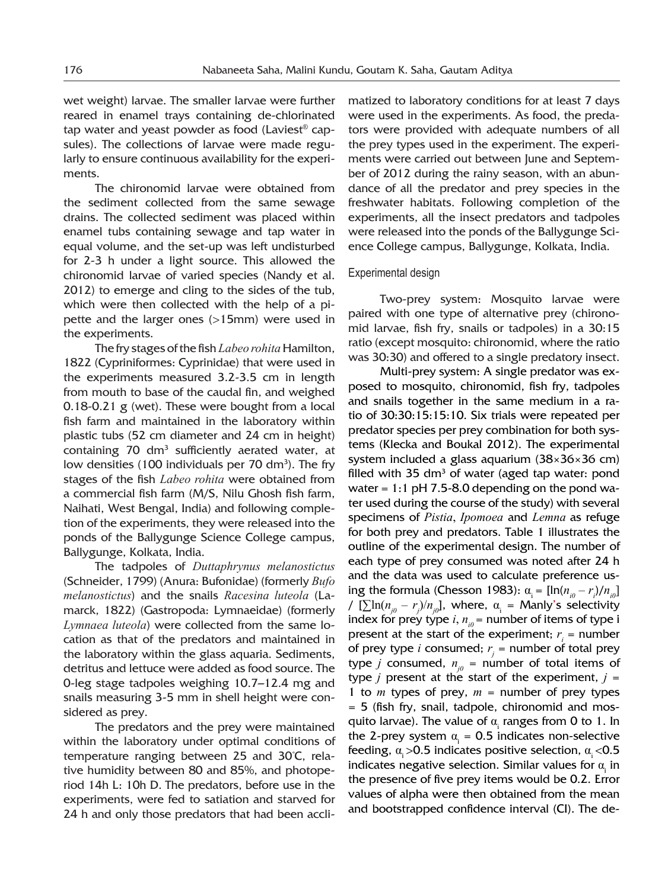wet weight) larvae. The smaller larvae were further reared in enamel trays containing de-chlorinated tap water and yeast powder as food (Laviest® capsules). The collections of larvae were made regularly to ensure continuous availability for the experiments.

The chironomid larvae were obtained from the sediment collected from the same sewage drains. The collected sediment was placed within enamel tubs containing sewage and tap water in equal volume, and the set-up was left undisturbed for 2-3 h under a light source. This allowed the chironomid larvae of varied species (Nandy et al. 2012) to emerge and cling to the sides of the tub, which were then collected with the help of a pipette and the larger ones (>15mm) were used in the experiments.

The fry stages of the fish *Labeo rohita* Hamilton, 1822 (Cypriniformes: Cyprinidae) that were used in the experiments measured 3.2-3.5 cm in length from mouth to base of the caudal fin, and weighed 0.18-0.21 g (wet). These were bought from a local fish farm and maintained in the laboratory within plastic tubs (52 cm diameter and 24 cm in height) containing 70 dm<sup>3</sup> sufficiently aerated water, at low densities (100 individuals per 70 dm<sup>3</sup>). The fry stages of the fish *Labeo rohita* were obtained from a commercial fish farm (M/S, Nilu Ghosh fish farm, Naihati, West Bengal, India) and following completion of the experiments, they were released into the ponds of the Ballygunge Science College campus, Ballygunge, Kolkata, India.

The tadpoles of *Duttaphrynus melanostictus* (Schneider, 1799) (Anura: Bufonidae) (formerly *Bufo melanostictus*) and the snails *Racesina luteola* (Lamarck, 1822) (Gastropoda: Lymnaeidae) (formerly *Lymnaea luteola*) were collected from the same location as that of the predators and maintained in the laboratory within the glass aquaria. Sediments, detritus and lettuce were added as food source. The 0-leg stage tadpoles weighing 10.7–12.4 mg and snails measuring 3-5 mm in shell height were considered as prey.

The predators and the prey were maintained within the laboratory under optimal conditions of temperature ranging between 25 and 30°C, relative humidity between 80 and 85%, and photoperiod 14h L: 10h D. The predators, before use in the experiments, were fed to satiation and starved for 24 h and only those predators that had been acclimatized to laboratory conditions for at least 7 days were used in the experiments. As food, the predators were provided with adequate numbers of all the prey types used in the experiment. The experiments were carried out between June and September of 2012 during the rainy season, with an abundance of all the predator and prey species in the freshwater habitats. Following completion of the experiments, all the insect predators and tadpoles were released into the ponds of the Ballygunge Science College campus, Ballygunge, Kolkata, India.

## Experimental design

Two-prey system: Mosquito larvae were paired with one type of alternative prey (chironomid larvae, fish fry, snails or tadpoles) in a 30:15 ratio (except mosquito: chironomid, where the ratio was 30:30) and offered to a single predatory insect.

Multi-prey system: A single predator was exposed to mosquito, chironomid, fish fry, tadpoles and snails together in the same medium in a ratio of 30:30:15:15:10. Six trials were repeated per predator species per prey combination for both systems (Klecka and Boukal 2012). The experimental system included a glass aquarium (38×36×36 cm) filled with 35  $dm<sup>3</sup>$  of water (aged tap water: pond water =  $1:1$  pH 7.5-8.0 depending on the pond water used during the course of the study) with several specimens of *Pistia*, *Ipomoea* and *Lemna* as refuge for both prey and predators. Table 1 illustrates the outline of the experimental design. The number of each type of prey consumed was noted after 24 h and the data was used to calculate preference using the formula (Chesson 1983):  $\alpha_i = [\ln(n_{i0} - r_i)/n_{i0}]$ /  $[\sum \ln(n_{j0} - r_j)/n_{j0}]$ , where,  $\alpha_i =$  Manly's selectivity index for prey type  $i, n_{i0}$  = number of items of type i present at the start of the experiment;  $r_i$  = number of prey type *i* consumed;  $r_j$  = number of total prey type *j* consumed,  $n_{i0}$  = number of total items of type *j* present at the start of the experiment,  $j =$ 1 to  $m$  types of prey,  $m =$  number of prey types = 5 (fish fry, snail, tadpole, chironomid and mosquito larvae). The value of  $\alpha$  ranges from 0 to 1. In the 2-prey system  $\alpha_i = 0.5$  indicates non-selective feeding,  $\alpha > 0.5$  indicates positive selection,  $\alpha < 0.5$ indicates negative selection. Similar values for  $\alpha$ <sub>i</sub> in the presence of five prey items would be 0.2. Error values of alpha were then obtained from the mean and bootstrapped confidence interval (CI). The de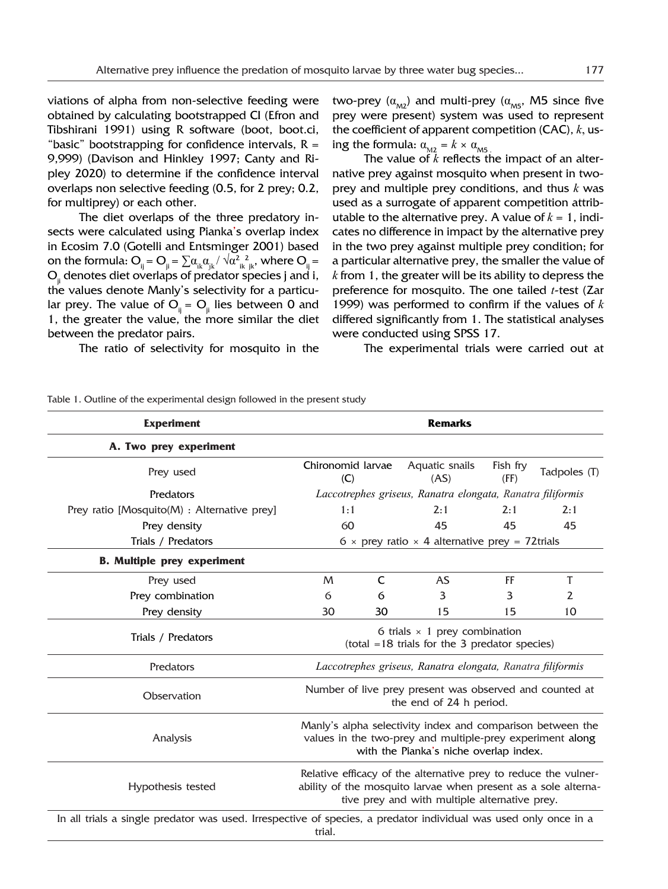viations of alpha from non-selective feeding were obtained by calculating bootstrapped CI (Efron and Tibshirani 1991) using R software (boot, boot.ci, "basic" bootstrapping for confidence intervals,  $R =$ 9,999) (Davison and Hinkley 1997; Canty and Ripley 2020) to determine if the confidence interval overlaps non selective feeding (0.5, for 2 prey; 0.2, for multiprey) or each other.

The diet overlaps of the three predatory insects were calculated using Pianka's overlap index in Ecosim 7.0 (Gotelli and Entsminger 2001) based on the formula:  $O_{ij} = O_{ji} = \sum \alpha_{ik}\alpha_{jk}/\sqrt{\alpha^2_{ik}^2_{jk}}$ , where  $O_{ij}$  = O<sub>ii</sub> denotes diet overlaps of predator species j and i, the values denote Manly's selectivity for a particular prey. The value of  $O_{ii} = O_{ii}$  lies between 0 and 1, the greater the value, the more similar the diet between the predator pairs.

The ratio of selectivity for mosquito in the

two-prey  $(\alpha_{M2})$  and multi-prey ( $\alpha_{M5}$ , M5 since five prey were present) system was used to represent the coefficient of apparent competition (CAC), *k*, using the formula:  $\alpha_{_{\rm M2}}$  =  $k \times \alpha_{_{\rm M5}}$ 

The value of *k* reflects the impact of an alternative prey against mosquito when present in twoprey and multiple prey conditions, and thus *k* was used as a surrogate of apparent competition attributable to the alternative prey. A value of  $k = 1$ , indicates no difference in impact by the alternative prey in the two prey against multiple prey condition; for a particular alternative prey, the smaller the value of *k* from 1, the greater will be its ability to depress the preference for mosquito. The one tailed *t*-test (Zar 1999) was performed to confirm if the values of *k* differed significantly from 1. The statistical analyses were conducted using SPSS 17.

The experimental trials were carried out at

| <b>Experiment</b>                                                                                                | <b>Remarks</b>                                                                                                                                                                     |    |                        |                  |              |
|------------------------------------------------------------------------------------------------------------------|------------------------------------------------------------------------------------------------------------------------------------------------------------------------------------|----|------------------------|------------------|--------------|
| A. Two prey experiment                                                                                           |                                                                                                                                                                                    |    |                        |                  |              |
| Prey used                                                                                                        | Chironomid larvae<br>(C)                                                                                                                                                           |    | Aquatic snails<br>(AS) | Fish fry<br>(FF) | Tadpoles (T) |
| Predators                                                                                                        | Laccotrephes griseus, Ranatra elongata, Ranatra filiformis                                                                                                                         |    |                        |                  |              |
| Prey ratio [Mosquito(M) : Alternative prey]                                                                      | 1:1                                                                                                                                                                                |    | 2:1                    | 2:1              | 2:1          |
| Prey density                                                                                                     | 60                                                                                                                                                                                 |    | 45                     | 45               | 45           |
| Trials / Predators                                                                                               | 6 $\times$ prey ratio $\times$ 4 alternative prey = 72trials                                                                                                                       |    |                        |                  |              |
| <b>B.</b> Multiple prey experiment                                                                               |                                                                                                                                                                                    |    |                        |                  |              |
| Prey used                                                                                                        | M                                                                                                                                                                                  | C  | AS.                    | FF               | T            |
| Prey combination                                                                                                 | 6                                                                                                                                                                                  | 6  | 3                      | 3                | 2            |
| Prey density                                                                                                     | 30                                                                                                                                                                                 | 30 | 15                     | 15               | 10           |
| Trials / Predators                                                                                               | 6 trials $\times$ 1 prey combination<br>$(total = 18 \text{ trials} for the 3 predator species)$                                                                                   |    |                        |                  |              |
| Predators                                                                                                        | Laccotrephes griseus, Ranatra elongata, Ranatra filiformis                                                                                                                         |    |                        |                  |              |
| Observation                                                                                                      | Number of live prey present was observed and counted at<br>the end of 24 h period.                                                                                                 |    |                        |                  |              |
| Analysis                                                                                                         | Manly's alpha selectivity index and comparison between the<br>values in the two-prey and multiple-prey experiment along<br>with the Pianka's niche overlap index.                  |    |                        |                  |              |
| Hypothesis tested                                                                                                | Relative efficacy of the alternative prey to reduce the vulner-<br>ability of the mosquito larvae when present as a sole alterna-<br>tive prey and with multiple alternative prey. |    |                        |                  |              |
| In all trials a single predator was used. Irrespective of species, a predator individual was used only once in a | trial.                                                                                                                                                                             |    |                        |                  |              |

Table 1. Outline of the experimental design followed in the present study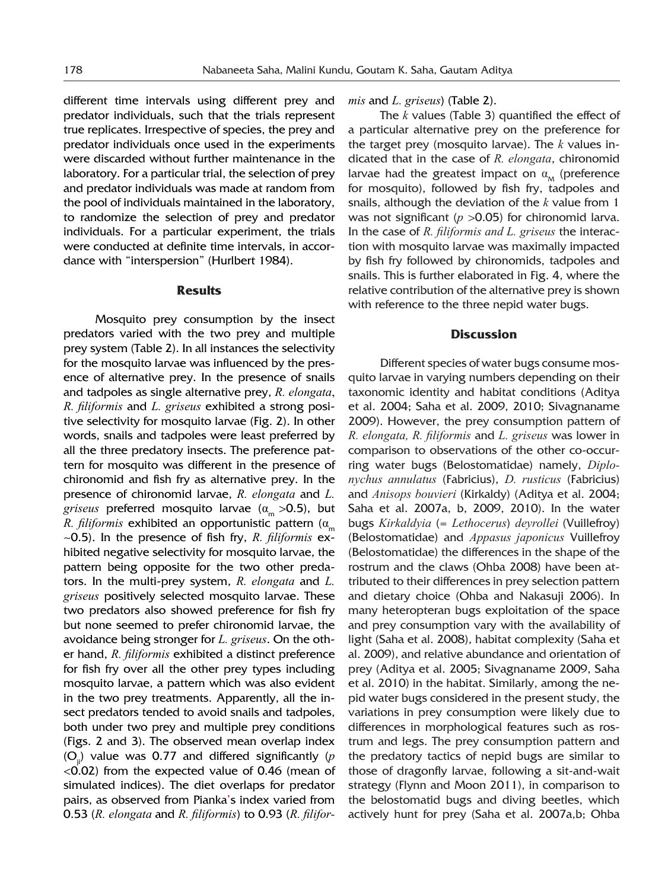different time intervals using different prey and predator individuals, such that the trials represent true replicates. Irrespective of species, the prey and predator individuals once used in the experiments were discarded without further maintenance in the laboratory. For a particular trial, the selection of prey and predator individuals was made at random from the pool of individuals maintained in the laboratory, to randomize the selection of prey and predator individuals. For a particular experiment, the trials were conducted at definite time intervals, in accordance with "interspersion" (Hurlbert 1984).

#### **Results**

Mosquito prey consumption by the insect predators varied with the two prey and multiple prey system (Table 2). In all instances the selectivity for the mosquito larvae was influenced by the presence of alternative prey. In the presence of snails and tadpoles as single alternative prey, *R. elongata*, *R. filiformis* and *L. griseus* exhibited a strong positive selectivity for mosquito larvae (Fig. 2). In other words, snails and tadpoles were least preferred by all the three predatory insects. The preference pattern for mosquito was different in the presence of chironomid and fish fry as alternative prey. In the presence of chironomid larvae, *R. elongata* and *L. griseus* preferred mosquito larvae (α<sub>m</sub> >0.5), but *R. filiformis* exhibited an opportunistic pattern ( $\alpha_m$ ~0.5). In the presence of fish fry, *R. filiformis* exhibited negative selectivity for mosquito larvae, the pattern being opposite for the two other predators. In the multi-prey system, *R. elongata* and *L. griseus* positively selected mosquito larvae. These two predators also showed preference for fish fry but none seemed to prefer chironomid larvae, the avoidance being stronger for *L. griseus*. On the other hand, *R. filiformis* exhibited a distinct preference for fish fry over all the other prey types including mosquito larvae, a pattern which was also evident in the two prey treatments. Apparently, all the insect predators tended to avoid snails and tadpoles, both under two prey and multiple prey conditions (Figs. 2 and 3). The observed mean overlap index (Oji) value was 0.77 and differed significantly (*p*  $\langle 0.02 \rangle$  from the expected value of 0.46 (mean of simulated indices). The diet overlaps for predator pairs, as observed from Pianka's index varied from 0.53 (*R. elongata* and *R. filiformis*) to 0.93 (*R. filifor-* *mis* and *L. griseus*) (Table 2).

The *k* values (Table 3) quantified the effect of a particular alternative prey on the preference for the target prey (mosquito larvae). The *k* values indicated that in the case of *R. elongata*, chironomid larvae had the greatest impact on  $\alpha_{\text{M}}$  (preference for mosquito), followed by fish fry, tadpoles and snails, although the deviation of the *k* value from 1 was not significant (*p* > 0.05) for chironomid larva. In the case of *R. filiformis and L. griseus* the interaction with mosquito larvae was maximally impacted by fish fry followed by chironomids, tadpoles and snails. This is further elaborated in Fig. 4, where the relative contribution of the alternative prey is shown with reference to the three nepid water bugs.

#### **Discussion**

Different species of water bugs consume mosquito larvae in varying numbers depending on their taxonomic identity and habitat conditions (Aditya et al. 2004; Saha et al. 2009, 2010; Sivagnaname 2009). However, the prey consumption pattern of *R. elongata, R. filiformis* and *L. griseus* was lower in comparison to observations of the other co-occurring water bugs (Belostomatidae) namely, *Diplonychus annulatus* (Fabricius), *D. rusticus* (Fabricius) and *Anisops bouvieri* (Kirkaldy) (Aditya et al. 2004; Saha et al. 2007a, b, 2009, 2010). In the water bugs *Kirkaldyia* (= *Lethocerus*) *deyrollei* (Vuillefroy) (Belostomatidae) and *Appasus japonicus* Vuillefroy (Belostomatidae) the differences in the shape of the rostrum and the claws (Ohba 2008) have been attributed to their differences in prey selection pattern and dietary choice (Ohba and Nakasuji 2006). In many heteropteran bugs exploitation of the space and prey consumption vary with the availability of light (Saha et al. 2008), habitat complexity (Saha et al. 2009), and relative abundance and orientation of prey (Aditya et al. 2005; Sivagnaname 2009, Saha et al. 2010) in the habitat. Similarly, among the nepid water bugs considered in the present study, the variations in prey consumption were likely due to differences in morphological features such as rostrum and legs. The prey consumption pattern and the predatory tactics of nepid bugs are similar to those of dragonfly larvae, following a sit-and-wait strategy (Flynn and Moon 2011), in comparison to the belostomatid bugs and diving beetles, which actively hunt for prey (Saha et al. 2007a,b; Ohba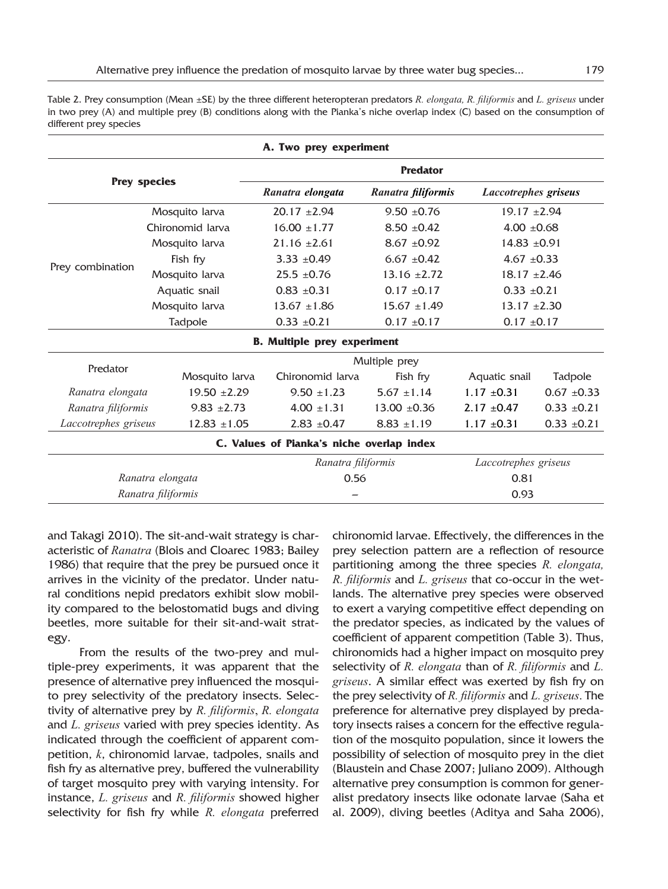Table 2. Prey consumption (Mean ±SE) by the three different heteropteran predators *R. elongata, R. filiformis* and *L. griseus* under in two prey (A) and multiple prey (B) conditions along with the Pianka's niche overlap index (C) based on the consumption of different prey species

|                      |                  | A. Two prey experiment                    |                      |                             |                 |  |
|----------------------|------------------|-------------------------------------------|----------------------|-----------------------------|-----------------|--|
| <b>Prey species</b>  |                  | <b>Predator</b>                           |                      |                             |                 |  |
|                      |                  | Ranatra elongata                          | Ranatra filiformis   | <b>Laccotrephes griseus</b> |                 |  |
| Prey combination     | Mosquito larva   | $20.17 \pm 2.94$                          | $9.50 \pm 0.76$      | $19.17 \pm 2.94$            |                 |  |
|                      | Chironomid Jarva | $16.00 \pm 1.77$                          | $8.50 \pm 0.42$      | $4.00 \pm 0.68$             |                 |  |
|                      | Mosquito larva   | $21.16 \pm 2.61$                          | $8.67 + 0.92$        | $14.83 \pm 0.91$            |                 |  |
|                      | Fish fry         | $3.33 \pm 0.49$                           | $6.67 \pm 0.42$      | 4.67 $\pm$ 0.33             |                 |  |
|                      | Mosquito larva   | $25.5 \pm 0.76$                           | $13.16 \pm 2.72$     | $18.17 \pm 2.46$            |                 |  |
|                      | Aquatic snail    | $0.83 + 0.31$                             | $0.17 \pm 0.17$      | $0.33 \pm 0.21$             |                 |  |
|                      | Mosquito larva   | $13.67 \pm 1.86$                          | $15.67 \pm 1.49$     | $13.17 \pm 2.30$            |                 |  |
|                      | Tadpole          | $0.33 \pm 0.21$                           | $0.17 \pm 0.17$      | $0.17 \pm 0.17$             |                 |  |
|                      |                  | <b>B.</b> Multiple prey experiment        |                      |                             |                 |  |
|                      |                  | Multiple prey                             |                      |                             |                 |  |
| Predator             | Mosquito larva   | Chironomid larva                          | Fish fry             | Aquatic snail               | Tadpole         |  |
| Ranatra elongata     | $19.50 \pm 2.29$ | $9.50 \pm 1.23$                           | $5.67 \pm 1.14$      | $1.17 \pm 0.31$             | $0.67 \pm 0.33$ |  |
| Ranatra filiformis   | $9.83 \pm 2.73$  | $4.00 \pm 1.31$                           | $13.00 \pm 0.36$     | $2.17 \pm 0.47$             | $0.33 \pm 0.21$ |  |
| Laccotrephes griseus | $12.83 \pm 1.05$ | $2.83 \pm 0.47$                           | $8.83 \pm 1.19$      | $1.17 \pm 0.31$             | $0.33 \pm 0.21$ |  |
|                      |                  | C. Values of Pianka's niche overlap index |                      |                             |                 |  |
| Ranatra filiformis   |                  |                                           | Laccotrephes griseus |                             |                 |  |
| Ranatra elongata     |                  | 0.56                                      |                      | 0.81                        |                 |  |
| Ranatra filiformis   |                  |                                           |                      | 0.93                        |                 |  |

and Takagi 2010). The sit-and-wait strategy is characteristic of *Ranatra* (Blois and Cloarec 1983; Bailey 1986) that require that the prey be pursued once it arrives in the vicinity of the predator. Under natural conditions nepid predators exhibit slow mobility compared to the belostomatid bugs and diving beetles, more suitable for their sit-and-wait strategy.

From the results of the two-prey and multiple-prey experiments, it was apparent that the presence of alternative prey influenced the mosquito prey selectivity of the predatory insects. Selectivity of alternative prey by *R. filiformis*, *R. elongata*  and *L. griseus* varied with prey species identity. As indicated through the coefficient of apparent competition, *k*, chironomid larvae, tadpoles, snails and fish fry as alternative prey, buffered the vulnerability of target mosquito prey with varying intensity. For instance, *L. griseus* and *R. filiformis* showed higher selectivity for fish fry while *R. elongata* preferred

chironomid larvae. Effectively, the differences in the prey selection pattern are a reflection of resource partitioning among the three species *R. elongata, R. filiformis* and *L. griseus* that co-occur in the wetlands. The alternative prey species were observed to exert a varying competitive effect depending on the predator species, as indicated by the values of coefficient of apparent competition (Table 3). Thus, chironomids had a higher impact on mosquito prey selectivity of *R. elongata* than of *R. filiformis* and *L. griseus*. A similar effect was exerted by fish fry on the prey selectivity of *R. filiformis* and *L. griseus*. The preference for alternative prey displayed by predatory insects raises a concern for the effective regulation of the mosquito population, since it lowers the possibility of selection of mosquito prey in the diet (Blaustein and Chase 2007; Juliano 2009). Although alternative prey consumption is common for generalist predatory insects like odonate larvae (Saha et al. 2009), diving beetles (Aditya and Saha 2006),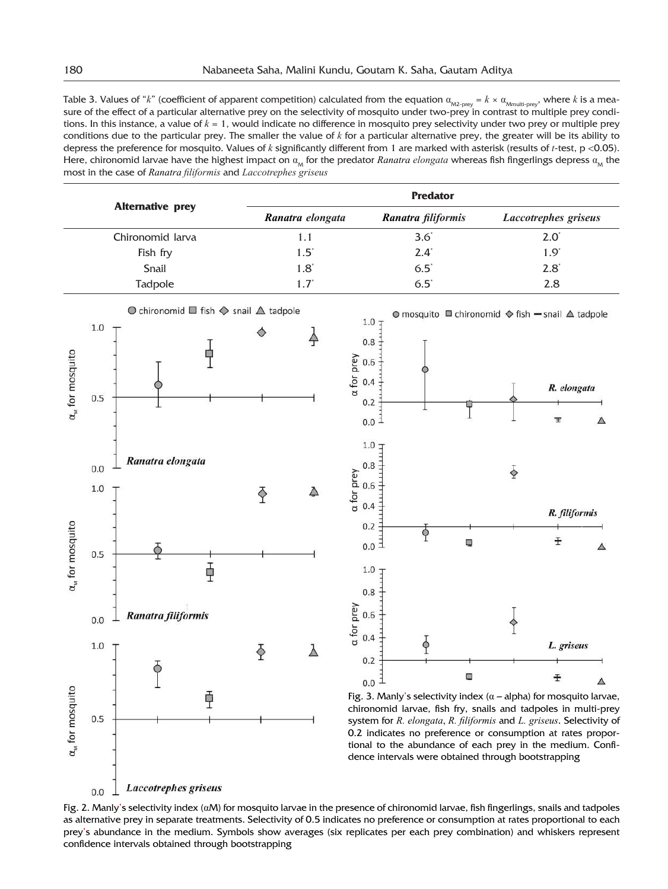Table 3. Values of " $k$ " (coefficient of apparent competition) calculated from the equation  $\alpha_{_{\rm M2\text{-}prey}}=k\times \alpha_{_{\rm Mmultiprey}},$  where  $k$  is a measure of the effect of a particular alternative prey on the selectivity of mosquito under two-prey in contrast to multiple prey conditions. In this instance, a value of *k* = 1, would indicate no difference in mosquito prey selectivity under two prey or multiple prey conditions due to the particular prey. The smaller the value of *k* for a particular alternative prey, the greater will be its ability to depress the preference for mosquito. Values of *k* significantly different from 1 are marked with asterisk (results of *t*-test, p <0.05). Here, chironomid larvae have the highest impact on  $a_{\rm M}$  for the predator  $Ranatra$  elongata whereas fish fingerlings depress  $a_{\rm M}$  the most in the case of *Ranatra filiformis* and *Laccotrephes griseus*

| <b>Alternative prey</b> | <b>Predator</b>  |                    |                      |  |  |
|-------------------------|------------------|--------------------|----------------------|--|--|
|                         | Ranatra elongata | Ranatra filiformis | Laccotrephes griseus |  |  |
| Chironomid larva        | 1.1              | $3.6^\circ$        | $2.0^\circ$          |  |  |
| Fish fry                | $1.5^{\circ}$    | $2.4^{\circ}$      | $1.9^{\circ}$        |  |  |
| Snail                   | $1.8^{\circ}$    | $6.5^{\circ}$      | $2.8^{\circ}$        |  |  |
| <b>Tadpole</b>          | $1.7^{\circ}$    | $6.5^\circ$        | 2.8                  |  |  |



© mosquito <sup>III</sup> chironomid ◆ fish - snail △ tadpole



Fig. 3. Manly's selectivity index ( $\alpha$  – alpha) for mosquito larvae, chironomid larvae, fish fry, snails and tadpoles in multi-prey system for *R. elongata*, *R. filiformis* and *L. griseus*. Selectivity of 0.2 indicates no preference or consumption at rates proportional to the abundance of each prey in the medium. Confidence intervals were obtained through bootstrapping

Fig. 2. Manly's selectivity index (αM) for mosquito larvae in the presence of chironomid larvae, fish fingerlings, snails and tadpoles as alternative prey in separate treatments. Selectivity of 0.5 indicates no preference or consumption at rates proportional to each prey's abundance in the medium. Symbols show averages (six replicates per each prey combination) and whiskers represent confidence intervals obtained through bootstrapping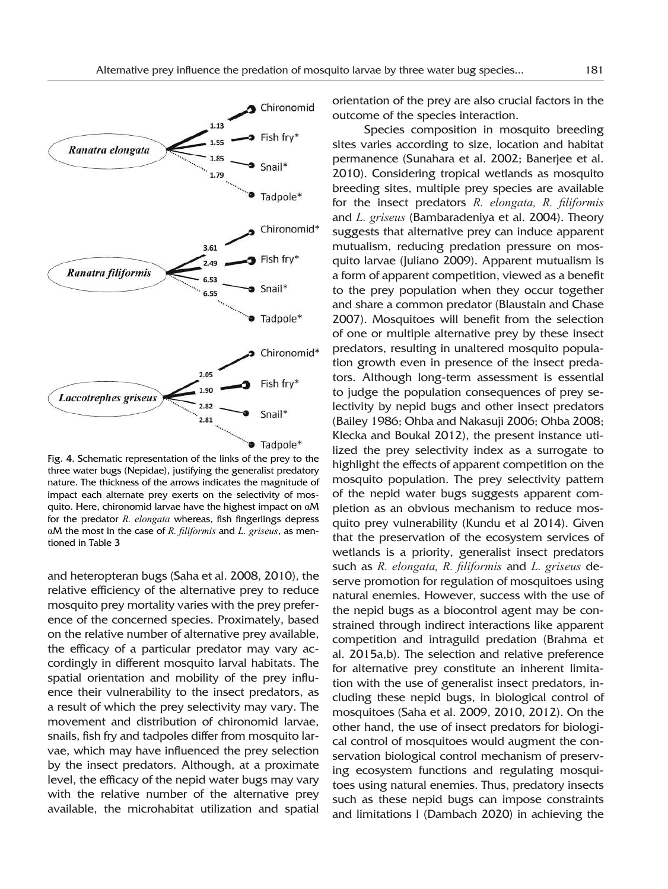

Fig. 4. Schematic representation of the links of the prey to the three water bugs (Nepidae), justifying the generalist predatory nature. The thickness of the arrows indicates the magnitude of impact each alternate prey exerts on the selectivity of mosquito. Here, chironomid larvae have the highest impact on αM for the predator *R. elongata* whereas, fish fingerlings depress αM the most in the case of *R. filiformis* and *L. griseus*, as mentioned in Table 3

and heteropteran bugs (Saha et al. 2008, 2010), the relative efficiency of the alternative prey to reduce mosquito prey mortality varies with the prey preference of the concerned species. Proximately, based on the relative number of alternative prey available, the efficacy of a particular predator may vary accordingly in different mosquito larval habitats. The spatial orientation and mobility of the prey influence their vulnerability to the insect predators, as a result of which the prey selectivity may vary. The movement and distribution of chironomid larvae, snails, fish fry and tadpoles differ from mosquito larvae, which may have influenced the prey selection by the insect predators. Although, at a proximate level, the efficacy of the nepid water bugs may vary with the relative number of the alternative prey available, the microhabitat utilization and spatial orientation of the prey are also crucial factors in the outcome of the species interaction.

Species composition in mosquito breeding sites varies according to size, location and habitat permanence (Sunahara et al. 2002; Banerjee et al. 2010). Considering tropical wetlands as mosquito breeding sites, multiple prey species are available for the insect predators *R. elongata, R. filiformis* and *L. griseus* (Bambaradeniya et al. 2004). Theory suggests that alternative prey can induce apparent mutualism, reducing predation pressure on mosquito larvae (Juliano 2009). Apparent mutualism is a form of apparent competition, viewed as a benefit to the prey population when they occur together and share a common predator (Blaustain and Chase 2007). Mosquitoes will benefit from the selection of one or multiple alternative prey by these insect predators, resulting in unaltered mosquito population growth even in presence of the insect predators. Although long-term assessment is essential to judge the population consequences of prey selectivity by nepid bugs and other insect predators (Bailey 1986; Ohba and Nakasuji 2006; Ohba 2008; Klecka and Boukal 2012), the present instance utilized the prey selectivity index as a surrogate to highlight the effects of apparent competition on the mosquito population. The prey selectivity pattern of the nepid water bugs suggests apparent completion as an obvious mechanism to reduce mosquito prey vulnerability (Kundu et al 2014). Given that the preservation of the ecosystem services of wetlands is a priority, generalist insect predators such as *R. elongata, R. filiformis* and *L. griseus* deserve promotion for regulation of mosquitoes using natural enemies. However, success with the use of the nepid bugs as a biocontrol agent may be constrained through indirect interactions like apparent competition and intraguild predation (Brahma et al. 2015a,b). The selection and relative preference for alternative prey constitute an inherent limitation with the use of generalist insect predators, including these nepid bugs, in biological control of mosquitoes (Saha et al. 2009, 2010, 2012). On the other hand, the use of insect predators for biological control of mosquitoes would augment the conservation biological control mechanism of preserving ecosystem functions and regulating mosquitoes using natural enemies. Thus, predatory insects such as these nepid bugs can impose constraints and limitations l (Dambach 2020) in achieving the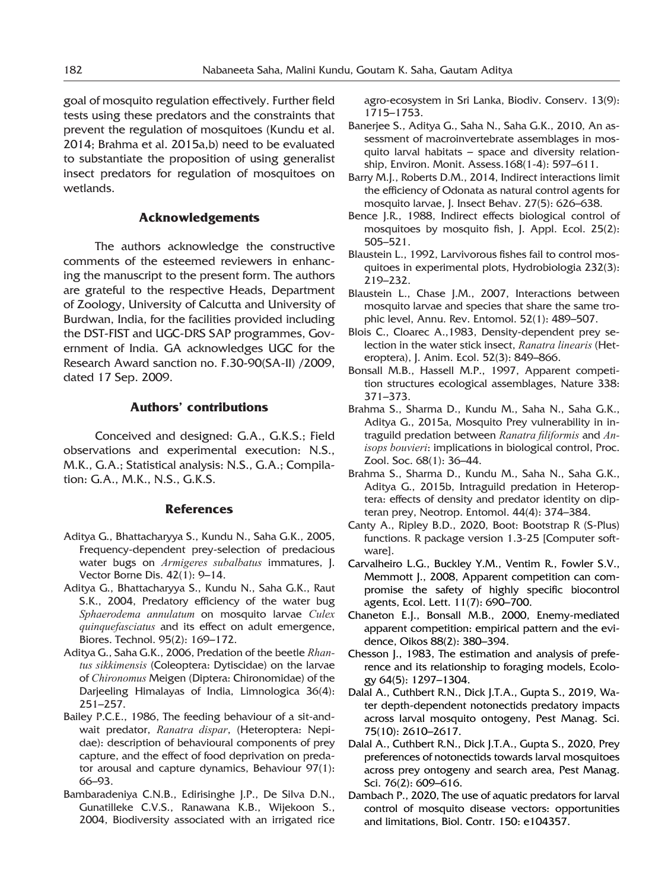goal of mosquito regulation effectively. Further field tests using these predators and the constraints that prevent the regulation of mosquitoes (Kundu et al. 2014; Brahma et al. 2015a,b) need to be evaluated to substantiate the proposition of using generalist insect predators for regulation of mosquitoes on wetlands.

#### **Acknowledgements**

The authors acknowledge the constructive comments of the esteemed reviewers in enhancing the manuscript to the present form. The authors are grateful to the respective Heads, Department of Zoology, University of Calcutta and University of Burdwan, India, for the facilities provided including the DST-FIST and UGC-DRS SAP programmes, Government of India. GA acknowledges UGC for the Research Award sanction no. F.30-90(SA-II) /2009, dated 17 Sep. 2009.

## **Authors' contributions**

Conceived and designed: G.A., G.K.S.; Field observations and experimental execution: N.S., M.K., G.A.; Statistical analysis: N.S., G.A.; Compilation: G.A., M.K., N.S., G.K.S.

## **References**

- Aditya G., Bhattacharyya S., Kundu N., Saha G.K., 2005, Frequency-dependent prey-selection of predacious water bugs on *Armigeres subalbatus* immatures, J. Vector Borne Dis. 42(1): 9–14.
- Aditya G., Bhattacharyya S., Kundu N., Saha G.K., Raut S.K., 2004, Predatory efficiency of the water bug *Sphaerodema annulatum* on mosquito larvae *Culex quinquefasciatus* and its effect on adult emergence, Biores. Technol. 95(2): 169–172.
- Aditya G., Saha G.K., 2006, Predation of the beetle *Rhantus sikkimensis* (Coleoptera: Dytiscidae) on the larvae of *Chironomus* Meigen (Diptera: Chironomidae) of the Darjeeling Himalayas of India, Limnologica 36(4): 251–257.
- Bailey P.C.E., 1986, The feeding behaviour of a sit-andwait predator, *Ranatra dispar*, (Heteroptera: Nepidae): description of behavioural components of prey capture, and the effect of food deprivation on predator arousal and capture dynamics, Behaviour 97(1): 66–93.
- Bambaradeniya C.N.B., Edirisinghe J.P., De Silva D.N., Gunatilleke C.V.S., Ranawana K.B., Wijekoon S., 2004, Biodiversity associated with an irrigated rice

agro-ecosystem in Sri Lanka, Biodiv. Conserv. 13(9): 1715–1753.

- Banerjee S., Aditya G., Saha N., Saha G.K., 2010, An assessment of macroinvertebrate assemblages in mosquito larval habitats – space and diversity relationship, Environ. Monit. Assess.168(1-4): 597–611.
- Barry M.J., Roberts D.M., 2014, Indirect interactions limit the efficiency of Odonata as natural control agents for mosquito larvae, J. Insect Behav. 27(5): 626–638.
- Bence J.R., 1988, Indirect effects biological control of mosquitoes by mosquito fish, J. Appl. Ecol. 25(2): 505–521.
- Blaustein L., 1992, Larvivorous fishes fail to control mosquitoes in experimental plots, Hydrobiologia 232(3): 219–232.
- Blaustein L., Chase J.M., 2007, Interactions between mosquito larvae and species that share the same trophic level, Annu. Rev. Entomol. 52(1): 489–507.
- Blois C., Cloarec A.,1983, Density-dependent prey selection in the water stick insect, *Ranatra linearis* (Heteroptera), J. Anim. Ecol. 52(3): 849–866.
- Bonsall M.B., Hassell M.P., 1997, Apparent competition structures ecological assemblages, Nature 338: 371–373.
- Brahma S., Sharma D., Kundu M., Saha N., Saha G.K., Aditya G., 2015a, Mosquito Prey vulnerability in intraguild predation between *Ranatra filiformis* and *Anisops bouvieri*: implications in biological control, Proc. Zool. Soc. 68(1): 36–44.
- Brahma S., Sharma D., Kundu M., Saha N., Saha G.K., Aditya G., 2015b, Intraguild predation in Heteroptera: effects of density and predator identity on dipteran prey, Neotrop. Entomol. 44(4): 374–384.
- Canty A., Ripley B.D., 2020, Boot: Bootstrap R (S-Plus) functions. R package version 1.3-25 [Computer software].
- Carvalheiro L.G., Buckley Y.M., Ventim R., Fowler S.V., Memmott J., 2008, Apparent competition can compromise the safety of highly specific biocontrol agents, Ecol. Lett. 11(7): 690–700.
- Chaneton E.J., Bonsall M.B., 2000, Enemy-mediated apparent competition: empirical pattern and the evidence, Oikos 88(2): 380–394.
- Chesson J., 1983, The estimation and analysis of preference and its relationship to foraging models, Ecology 64(5): 1297–1304.
- Dalal A., Cuthbert R.N., Dick J.T.A., Gupta S., 2019, Water depth-dependent notonectids predatory impacts across larval mosquito ontogeny, Pest Manag. Sci. 75(10): 2610–2617.
- Dalal A., Cuthbert R.N., Dick J.T.A., Gupta S., 2020, Prey preferences of notonectids towards larval mosquitoes across prey ontogeny and search area, Pest Manag. Sci. 76(2): 609–616.
- Dambach P., 2020, The use of aquatic predators for larval control of mosquito disease vectors: opportunities and limitations, Biol. Contr. 150: e104357.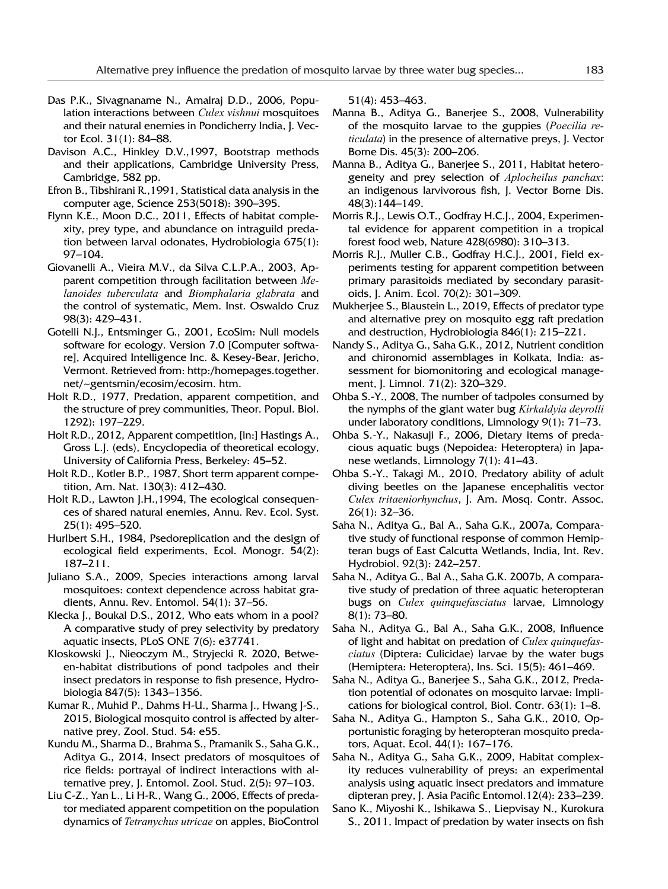- Das P.K., Sivagnaname N., Amalraj D.D., 2006, Population interactions between *Culex vishnui* mosquitoes and their natural enemies in Pondicherry India, J. Vector Ecol. 31(1): 84–88.
- Davison A.C., Hinkley D.V.,1997, Bootstrap methods and their applications, Cambridge University Press, Cambridge, 582 pp.
- Efron B., Tibshirani R.,1991, Statistical data analysis in the computer age, Science 253(5018): 390–395.
- Flynn K.E., Moon D.C., 2011, Effects of habitat complexity, prey type, and abundance on intraguild predation between larval odonates, Hydrobiologia 675(1): 97–104.
- Giovanelli A., Vieira M.V., da Silva C.L.P.A., 2003, Apparent competition through facilitation between *Melanoides tuberculata* and *Biomphalaria glabrata* and the control of systematic, Mem. Inst. Oswaldo Cruz 98(3): 429–431.
- Gotelli N.J., Entsminger G., 2001, EcoSim: Null models software for ecology. Version 7.0 [Computer software], Acquired Intelligence Inc. & Kesey-Bear, Jericho, Vermont. Retrieved from: http:/homepages.together. net/~gentsmin/ecosim/ecosim. htm.
- Holt R.D., 1977, Predation, apparent competition, and the structure of prey communities, Theor. Popul. Biol. 1292): 197–229.
- Holt R.D., 2012, Apparent competition, [in:] Hastings A., Gross L.J. (eds), Encyclopedia of theoretical ecology, University of California Press, Berkeley: 45–52.
- Holt R.D., Kotler B.P., 1987, Short term apparent competition, Am. Nat. 130(3): 412–430.
- Holt R.D., Lawton J.H.,1994, The ecological consequences of shared natural enemies, Annu. Rev. Ecol. Syst. 25(1): 495–520.
- Hurlbert S.H., 1984, Psedoreplication and the design of ecological field experiments, Ecol. Monogr. 54(2): 187–211.
- Juliano S.A., 2009, Species interactions among larval mosquitoes: context dependence across habitat gradients, Annu. Rev. Entomol. 54(1): 37–56.
- Klecka J., Boukal D.S., 2012, Who eats whom in a pool? A comparative study of prey selectivity by predatory aquatic insects, PLoS ONE 7(6): e37741.
- Kloskowski J., Nieoczym M., Stryjecki R. 2020, Between-habitat distributions of pond tadpoles and their insect predators in response to fish presence, Hydrobiologia 847(5): 1343–1356.
- Kumar R., Muhid P., Dahms H-U., Sharma J., Hwang J-S., 2015, Biological mosquito control is affected by alternative prey, Zool. Stud. 54: e55.
- Kundu M., Sharma D., Brahma S., Pramanik S., Saha G.K., Aditya G., 2014, Insect predators of mosquitoes of rice fields: portrayal of indirect interactions with alternative prey, J. Entomol. Zool. Stud. 2(5): 97–103.
- Liu C-Z., Yan L., Li H-R., Wang G., 2006, Effects of predator mediated apparent competition on the population dynamics of *Tetranychus utricae* on apples, BioControl

51(4): 453–463.

- Manna B., Aditya G., Banerjee S., 2008, Vulnerability of the mosquito larvae to the guppies (*Poecilia reticulata*) in the presence of alternative preys, J. Vector Borne Dis. 45(3): 200–206.
- Manna B., Aditya G., Banerjee S., 2011, Habitat heterogeneity and prey selection of *Aplocheilus panchax*: an indigenous larvivorous fish, J. Vector Borne Dis. 48(3):144–149.
- Morris R.J., Lewis O.T., Godfray H.C.J., 2004, Experimental evidence for apparent competition in a tropical forest food web, Nature 428(6980): 310–313.
- Morris R.J., Muller C.B., Godfray H.C.J., 2001, Field experiments testing for apparent competition between primary parasitoids mediated by secondary parasitoids, J. Anim. Ecol. 70(2): 301–309.
- Mukherjee S., Blaustein L., 2019, Effects of predator type and alternative prey on mosquito egg raft predation and destruction, Hydrobiologia 846(1): 215–221.
- Nandy S., Aditya G., Saha G.K., 2012, Nutrient condition and chironomid assemblages in Kolkata, India: assessment for biomonitoring and ecological management, J. Limnol. 71(2): 320–329.
- Ohba S.-Y., 2008, The number of tadpoles consumed by the nymphs of the giant water bug *Kirkaldyia deyrolli* under laboratory conditions, Limnology 9(1): 71–73.
- Ohba S.-Y., Nakasuji F., 2006, Dietary items of predacious aquatic bugs (Nepoidea: Heteroptera) in Japanese wetlands, Limnology 7(1): 41–43.
- Ohba S.-Y., Takagi M., 2010, Predatory ability of adult diving beetles on the Japanese encephalitis vector *Culex tritaeniorhynchus*, J. Am. Mosq. Contr. Assoc. 26(1): 32–36.
- Saha N., Aditya G., Bal A., Saha G.K., 2007a, Comparative study of functional response of common Hemipteran bugs of East Calcutta Wetlands, India, Int. Rev. Hydrobiol. 92(3): 242–257.
- Saha N., Aditya G., Bal A., Saha G.K. 2007b, A comparative study of predation of three aquatic heteropteran bugs on *Culex quinquefasciatus* larvae, Limnology 8(1): 73–80.
- Saha N., Aditya G., Bal A., Saha G.K., 2008, Influence of light and habitat on predation of *Culex quinquefasciatus* (Diptera: Culicidae) larvae by the water bugs (Hemiptera: Heteroptera), Ins. Sci. 15(5): 461–469.
- Saha N., Aditya G., Banerjee S., Saha G.K., 2012, Predation potential of odonates on mosquito larvae: Implications for biological control, Biol. Contr. 63(1): 1–8.
- Saha N., Aditya G., Hampton S., Saha G.K., 2010, Opportunistic foraging by heteropteran mosquito predators, Aquat. Ecol. 44(1): 167–176.
- Saha N., Aditya G., Saha G.K., 2009, Habitat complexity reduces vulnerability of preys: an experimental analysis using aquatic insect predators and immature dipteran prey, J. Asia Pacific Entomol.12(4): 233–239.
- Sano K., Miyoshi K., Ishikawa S., Liepvisay N., Kurokura S., 2011, Impact of predation by water insects on fish